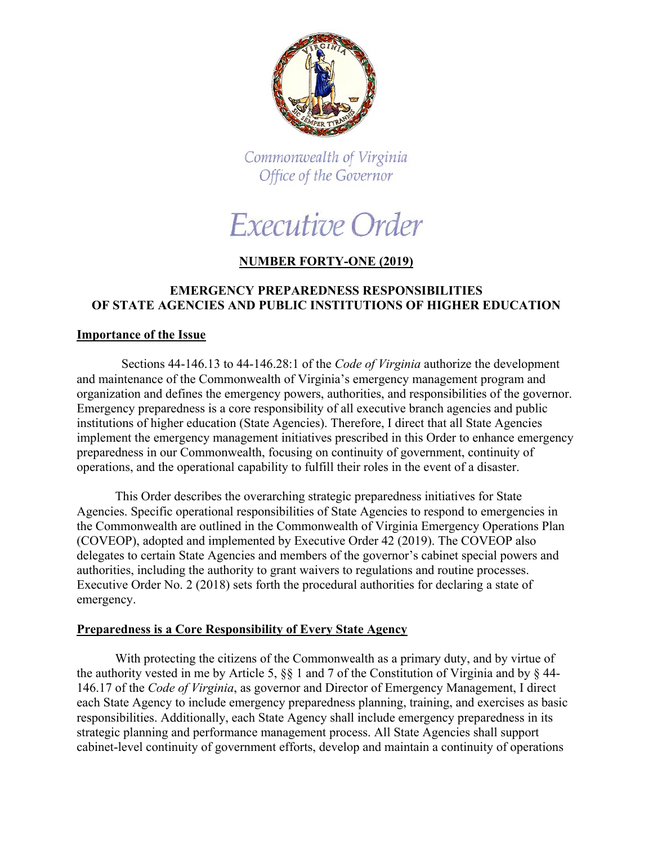

Commonwealth of Virginia Office of the Governor

# Executive Order

## **NUMBER FORTY-ONE (2019)**

## **EMERGENCY PREPAREDNESS RESPONSIBILITIES OF STATE AGENCIES AND PUBLIC INSTITUTIONS OF HIGHER EDUCATION**

### **Importance of the Issue**

 Sections 44-146.13 to 44-146.28:1 of the *Code of Virginia* authorize the development and maintenance of the Commonwealth of Virginia's emergency management program and organization and defines the emergency powers, authorities, and responsibilities of the governor. Emergency preparedness is a core responsibility of all executive branch agencies and public institutions of higher education (State Agencies). Therefore, I direct that all State Agencies implement the emergency management initiatives prescribed in this Order to enhance emergency preparedness in our Commonwealth, focusing on continuity of government, continuity of operations, and the operational capability to fulfill their roles in the event of a disaster.

This Order describes the overarching strategic preparedness initiatives for State Agencies. Specific operational responsibilities of State Agencies to respond to emergencies in the Commonwealth are outlined in the Commonwealth of Virginia Emergency Operations Plan (COVEOP), adopted and implemented by Executive Order 42 (2019). The COVEOP also delegates to certain State Agencies and members of the governor's cabinet special powers and authorities, including the authority to grant waivers to regulations and routine processes. Executive Order No. 2 (2018) sets forth the procedural authorities for declaring a state of emergency.

## **Preparedness is a Core Responsibility of Every State Agency**

With protecting the citizens of the Commonwealth as a primary duty, and by virtue of the authority vested in me by Article 5, §§ 1 and 7 of the Constitution of Virginia and by § 44- 146.17 of the *Code of Virginia*, as governor and Director of Emergency Management, I direct each State Agency to include emergency preparedness planning, training, and exercises as basic responsibilities. Additionally, each State Agency shall include emergency preparedness in its strategic planning and performance management process. All State Agencies shall support cabinet-level continuity of government efforts, develop and maintain a continuity of operations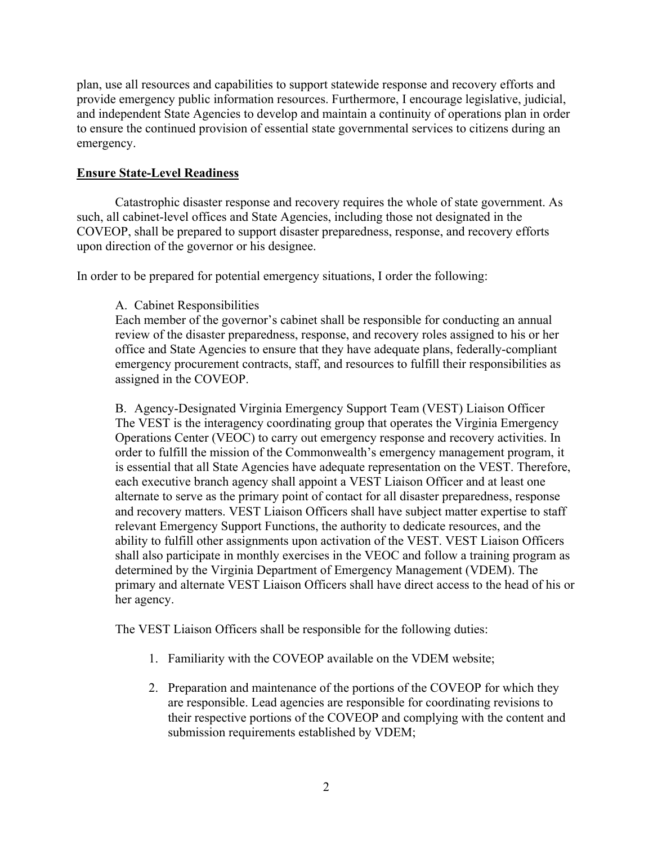plan, use all resources and capabilities to support statewide response and recovery efforts and provide emergency public information resources. Furthermore, I encourage legislative, judicial, and independent State Agencies to develop and maintain a continuity of operations plan in order to ensure the continued provision of essential state governmental services to citizens during an emergency.

## **Ensure State-Level Readiness**

Catastrophic disaster response and recovery requires the whole of state government. As such, all cabinet-level offices and State Agencies, including those not designated in the COVEOP, shall be prepared to support disaster preparedness, response, and recovery efforts upon direction of the governor or his designee.

In order to be prepared for potential emergency situations, I order the following:

### A. Cabinet Responsibilities

Each member of the governor's cabinet shall be responsible for conducting an annual review of the disaster preparedness, response, and recovery roles assigned to his or her office and State Agencies to ensure that they have adequate plans, federally-compliant emergency procurement contracts, staff, and resources to fulfill their responsibilities as assigned in the COVEOP.

B. Agency-Designated Virginia Emergency Support Team (VEST) Liaison Officer The VEST is the interagency coordinating group that operates the Virginia Emergency Operations Center (VEOC) to carry out emergency response and recovery activities. In order to fulfill the mission of the Commonwealth's emergency management program, it is essential that all State Agencies have adequate representation on the VEST. Therefore, each executive branch agency shall appoint a VEST Liaison Officer and at least one alternate to serve as the primary point of contact for all disaster preparedness, response and recovery matters. VEST Liaison Officers shall have subject matter expertise to staff relevant Emergency Support Functions, the authority to dedicate resources, and the ability to fulfill other assignments upon activation of the VEST. VEST Liaison Officers shall also participate in monthly exercises in the VEOC and follow a training program as determined by the Virginia Department of Emergency Management (VDEM). The primary and alternate VEST Liaison Officers shall have direct access to the head of his or her agency.

The VEST Liaison Officers shall be responsible for the following duties:

- 1. Familiarity with the COVEOP available on the VDEM website;
- 2. Preparation and maintenance of the portions of the COVEOP for which they are responsible. Lead agencies are responsible for coordinating revisions to their respective portions of the COVEOP and complying with the content and submission requirements established by VDEM;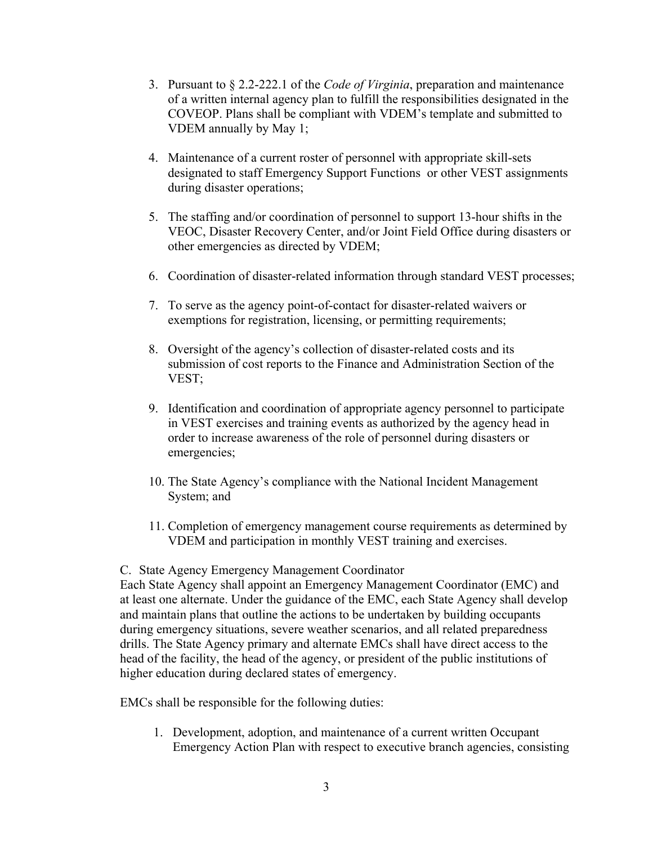- 3. Pursuant to § 2.2-222.1 of the *Code of Virginia*, preparation and maintenance of a written internal agency plan to fulfill the responsibilities designated in the COVEOP. Plans shall be compliant with VDEM's template and submitted to VDEM annually by May 1;
- 4. Maintenance of a current roster of personnel with appropriate skill-sets designated to staff Emergency Support Functions or other VEST assignments during disaster operations;
- 5. The staffing and/or coordination of personnel to support 13-hour shifts in the VEOC, Disaster Recovery Center, and/or Joint Field Office during disasters or other emergencies as directed by VDEM;
- 6. Coordination of disaster-related information through standard VEST processes;
- 7. To serve as the agency point-of-contact for disaster-related waivers or exemptions for registration, licensing, or permitting requirements;
- 8. Oversight of the agency's collection of disaster-related costs and its submission of cost reports to the Finance and Administration Section of the VEST;
- 9. Identification and coordination of appropriate agency personnel to participate in VEST exercises and training events as authorized by the agency head in order to increase awareness of the role of personnel during disasters or emergencies;
- 10. The State Agency's compliance with the National Incident Management System; and
- 11. Completion of emergency management course requirements as determined by VDEM and participation in monthly VEST training and exercises.

### C. State Agency Emergency Management Coordinator

Each State Agency shall appoint an Emergency Management Coordinator (EMC) and at least one alternate. Under the guidance of the EMC, each State Agency shall develop and maintain plans that outline the actions to be undertaken by building occupants during emergency situations, severe weather scenarios, and all related preparedness drills. The State Agency primary and alternate EMCs shall have direct access to the head of the facility, the head of the agency, or president of the public institutions of higher education during declared states of emergency.

EMCs shall be responsible for the following duties:

1. Development, adoption, and maintenance of a current written Occupant Emergency Action Plan with respect to executive branch agencies, consisting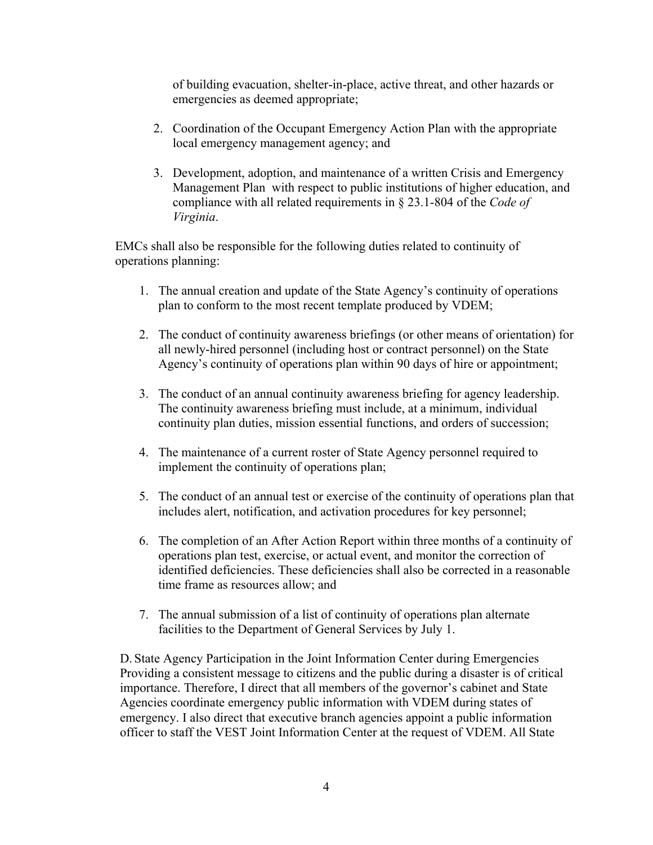of building evacuation, shelter-in-place, active threat, and other hazards or emergencies as deemed appropriate;

- 2. Coordination of the Occupant Emergency Action Plan with the appropriate local emergency management agency; and
- 3. Development, adoption, and maintenance of a written Crisis and Emergency Management Plan with respect to public institutions of higher education, and compliance with all related requirements in § 23.1-804 of the *Code of Virginia*.

EMCs shall also be responsible for the following duties related to continuity of operations planning:

- 1. The annual creation and update of the State Agency's continuity of operations plan to conform to the most recent template produced by VDEM;
- 2. The conduct of continuity awareness briefings (or other means of orientation) for all newly-hired personnel (including host or contract personnel) on the State Agency's continuity of operations plan within 90 days of hire or appointment;
- 3. The conduct of an annual continuity awareness briefing for agency leadership. The continuity awareness briefing must include, at a minimum, individual continuity plan duties, mission essential functions, and orders of succession;
- 4. The maintenance of a current roster of State Agency personnel required to implement the continuity of operations plan;
- 5. The conduct of an annual test or exercise of the continuity of operations plan that includes alert, notification, and activation procedures for key personnel;
- 6. The completion of an After Action Report within three months of a continuity of operations plan test, exercise, or actual event, and monitor the correction of identified deficiencies. These deficiencies shall also be corrected in a reasonable time frame as resources allow; and
- 7. The annual submission of a list of continuity of operations plan alternate facilities to the Department of General Services by July 1.

D. State Agency Participation in the Joint Information Center during Emergencies Providing a consistent message to citizens and the public during a disaster is of critical importance. Therefore, I direct that all members of the governor's cabinet and State Agencies coordinate emergency public information with VDEM during states of emergency. I also direct that executive branch agencies appoint a public information officer to staff the VEST Joint Information Center at the request of VDEM. All State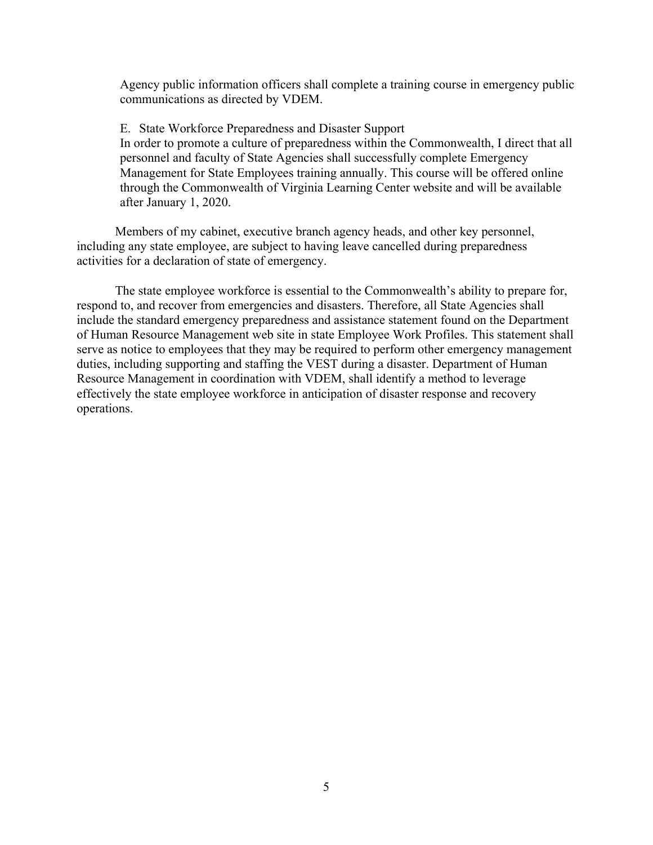Agency public information officers shall complete a training course in emergency public communications as directed by VDEM.

E. State Workforce Preparedness and Disaster Support In order to promote a culture of preparedness within the Commonwealth, I direct that all personnel and faculty of State Agencies shall successfully complete Emergency Management for State Employees training annually. This course will be offered online through the Commonwealth of Virginia Learning Center website and will be available after January 1, 2020.

Members of my cabinet, executive branch agency heads, and other key personnel, including any state employee, are subject to having leave cancelled during preparedness activities for a declaration of state of emergency.

The state employee workforce is essential to the Commonwealth's ability to prepare for, respond to, and recover from emergencies and disasters. Therefore, all State Agencies shall include the standard emergency preparedness and assistance statement found on the Department of Human Resource Management web site in state Employee Work Profiles. This statement shall serve as notice to employees that they may be required to perform other emergency management duties, including supporting and staffing the VEST during a disaster. Department of Human Resource Management in coordination with VDEM, shall identify a method to leverage effectively the state employee workforce in anticipation of disaster response and recovery operations.